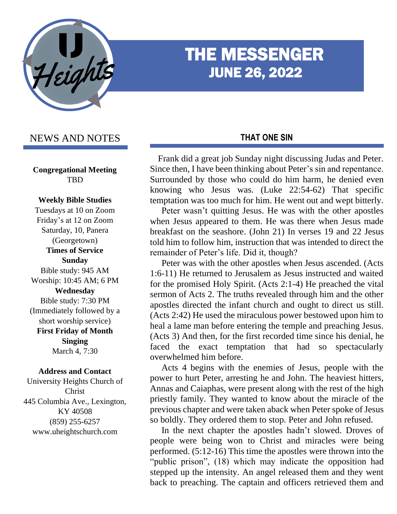

# THE MESSENGER JUNE 26, 2022

# NEWS AND NOTES

**Congregational Meeting TBD** 

#### **Weekly Bible Studies**

Tuesdays at 10 on Zoom Friday's at 12 on Zoom Saturday, 10, Panera (Georgetown) **Times of Service Sunday** Bible study: 945 AM Worship: 10:45 AM; 6 PM **Wednesday** Bible study: 7:30 PM (Immediately followed by a short worship service) **First Friday of Month Singing** March 4, 7:30

#### **Address and Contact**

University Heights Church of Christ 445 Columbia Ave., Lexington, KY 40508 (859) 255-6257 www.uheightschurch.com

### **THAT ONE SIN**

 Frank did a great job Sunday night discussing Judas and Peter. Since then, I have been thinking about Peter's sin and repentance. Surrounded by those who could do him harm, he denied even knowing who Jesus was. (Luke 22:54-62) That specific temptation was too much for him. He went out and wept bitterly.

 Peter wasn't quitting Jesus. He was with the other apostles when Jesus appeared to them. He was there when Jesus made breakfast on the seashore. (John 21) In verses 19 and 22 Jesus told him to follow him, instruction that was intended to direct the remainder of Peter's life. Did it, though?

 Peter was with the other apostles when Jesus ascended. (Acts 1:6-11) He returned to Jerusalem as Jesus instructed and waited for the promised Holy Spirit. (Acts 2:1-4) He preached the vital sermon of Acts 2. The truths revealed through him and the other apostles directed the infant church and ought to direct us still. (Acts 2:42) He used the miraculous power bestowed upon him to heal a lame man before entering the temple and preaching Jesus. (Acts 3) And then, for the first recorded time since his denial, he faced the exact temptation that had so spectacularly overwhelmed him before.

 Acts 4 begins with the enemies of Jesus, people with the power to hurt Peter, arresting he and John. The heaviest hitters, Annas and Caiaphas, were present along with the rest of the high priestly family. They wanted to know about the miracle of the previous chapter and were taken aback when Peter spoke of Jesus so boldly. They ordered them to stop. Peter and John refused.

 In the next chapter the apostles hadn't slowed. Droves of people were being won to Christ and miracles were being performed. (5:12-16) This time the apostles were thrown into the "public prison", (18) which may indicate the opposition had stepped up the intensity. An angel released them and they went back to preaching. The captain and officers retrieved them and